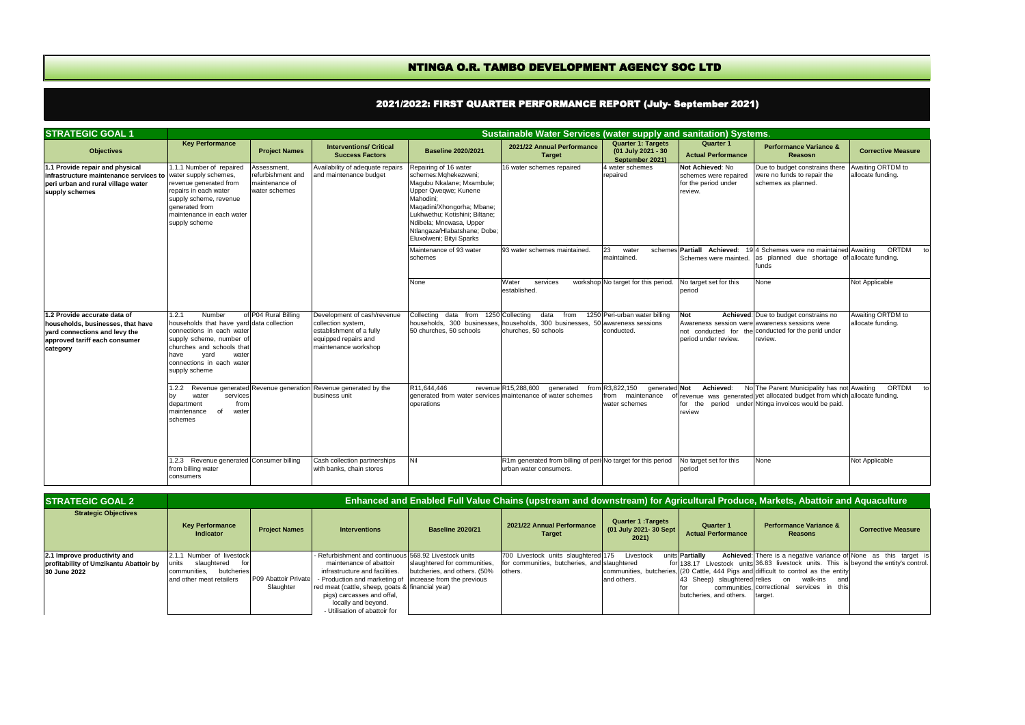| <b>STRATEGIC GOAL 1</b><br>Sustainable Water Services (water supply and sanitation) Systems.                                                    |                                                                                                                                                                                                                           |                                                                     |                                                                                                                               |                                                                                                                                                                                                                                                                        |                                                                                                |                                                                       |                                                                               |                                                                                                                                                                        |                                        |
|-------------------------------------------------------------------------------------------------------------------------------------------------|---------------------------------------------------------------------------------------------------------------------------------------------------------------------------------------------------------------------------|---------------------------------------------------------------------|-------------------------------------------------------------------------------------------------------------------------------|------------------------------------------------------------------------------------------------------------------------------------------------------------------------------------------------------------------------------------------------------------------------|------------------------------------------------------------------------------------------------|-----------------------------------------------------------------------|-------------------------------------------------------------------------------|------------------------------------------------------------------------------------------------------------------------------------------------------------------------|----------------------------------------|
| <b>Objectives</b>                                                                                                                               | <b>Key Performance</b>                                                                                                                                                                                                    | <b>Project Names</b>                                                | <b>Interventions/ Critical</b><br><b>Success Factors</b>                                                                      | <b>Baseline 2020/2021</b>                                                                                                                                                                                                                                              | 2021/22 Annual Performance<br><b>Target</b>                                                    | <b>Quarter 1: Targets</b><br>(01 July 2021 - 30<br>September 2021)    | <b>Quarter 1</b><br><b>Actual Performance</b>                                 | <b>Performance Variance &amp;</b><br><b>Reasosn</b>                                                                                                                    | <b>Corrective Measure</b>              |
| 1.1 Provide repair and physical<br>infrastructure maintenance services to<br>peri urban and rural village water<br>supply schemes               | 1.1.1 Number of repaired<br>water supply schemes.<br>revenue generated from<br>repairs in each water<br>supply scheme, revenue<br>generated from<br>maintenance in each water<br>supply scheme                            | Assessment,<br>refurbishment and<br>maintenance of<br>water schemes | Availability of adequate repairs<br>and maintenance budget                                                                    | Repairing of 16 water<br>schemes:Mahekezweni:<br>Magubu Nkalane; Mxambule;<br>Upper Qweqwe; Kunene<br>Mahodini:<br>Maqadini/Xhongorha; Mbane;<br>Lukhwethu; Kotishini; Biltane;<br>Ndibela; Mncwasa, Upper<br>Ntlangaza/Hlabatshane; Dobe;<br>Eluxolweni; Bityi Sparks | 16 water schemes repaired                                                                      | 4 water schemes<br>repaired                                           | Not Achieved: No<br>schemes were repaired<br>for the period under<br>review.  | Due to budget constrains there<br>were no funds to repair the<br>schemes as planned.                                                                                   | Awaiting ORTDM to<br>allocate funding. |
|                                                                                                                                                 |                                                                                                                                                                                                                           |                                                                     |                                                                                                                               | Maintenance of 93 water<br>schemes<br>None                                                                                                                                                                                                                             | 93 water schemes maintained<br>Water<br>services                                               | 23<br>water<br>maintained.<br>workshop No target for this period.     | schemes Partiall Achieved:<br>Schemes were mainted.<br>No target set for this | 194 Schemes were no maintained Awaiting<br>as planned due shortage of allocate funding.<br>funds<br>None                                                               | ORTDM<br>Not Applicable                |
|                                                                                                                                                 |                                                                                                                                                                                                                           |                                                                     |                                                                                                                               |                                                                                                                                                                                                                                                                        | established.                                                                                   |                                                                       | period                                                                        |                                                                                                                                                                        |                                        |
| 1.2 Provide accurate data of<br>households, businesses, that have<br>vard connections and levy the<br>approved tariff each consumer<br>category | Number<br>1.2.1<br>households that have yard data collection<br>connections in each water<br>supply scheme, number of<br>churches and schools that<br>yard<br>water<br>have<br>connections in each water<br>supply scheme | of P04 Rural Billing                                                | Development of cash/revenue<br>collection system,<br>establishment of a fully<br>equipped repairs and<br>maintenance workshop | Collecting<br>data from 1250 Collecting<br>households. 300 businesses<br>50 churches, 50 schools                                                                                                                                                                       | data<br>from<br>households, 300 businesses, 50 awareness sessions<br>churches, 50 schools      | 1250 Peri-urban water billing<br>conducted.                           | Not<br>period under review.                                                   | Achieved: Due to budget constrains no<br>Awareness session were awareness sessions were<br>not conducted for the conducted for the perid under<br>review.              | Awaiting ORTDM to<br>allocate funding. |
|                                                                                                                                                 | .2.2<br>water<br>services<br>bv<br>department<br>from<br>maintenance<br>of<br>water<br>schemes                                                                                                                            |                                                                     | Revenue generated Revenue generation Revenue generated by the<br>business unit                                                | R11.644.446<br>operations                                                                                                                                                                                                                                              | revenue R15,288,600<br>qenerated<br>generated from water services maintenance of water schemes | from R3,822,150<br>generated Not<br>from maintenance<br>water schemes | Achieved:<br>for the<br>review                                                | No The Parent Municipality has not Awaiting<br>frevenue was generated yet allocated budget from which allocate funding.<br>period under Ntinga invoices would be paid. | ORTDM<br>$\mathsf{t}$                  |
|                                                                                                                                                 | 1.2.3 Revenue generated Consumer billing<br>from billing water<br>consumers                                                                                                                                               |                                                                     | Cash collection partnerships<br>with banks, chain stores                                                                      | Nil                                                                                                                                                                                                                                                                    | R1m generated from billing of peri-No target for this period<br>urban water consumers.         |                                                                       | No target set for this<br>period                                              | None                                                                                                                                                                   | Not Applicable                         |

## NTINGA O.R. TAMBO DEVELOPMENT AGENCY SOC LTD

| <b>STRATEGIC GOAL 2</b>                                                                | Enhanced and Enabled Full Value Chains (upstream and downstream) for Agricultural Produce, M <u>arkets, Abattoir and Aquaculture</u> |                                   |                                                                                                                                                                                                                                                                                                                           |                                                              |                                                                                                          |                                                             |                                                           |                                                                                                                                                                                                                                                                                                                                                        |                           |
|----------------------------------------------------------------------------------------|--------------------------------------------------------------------------------------------------------------------------------------|-----------------------------------|---------------------------------------------------------------------------------------------------------------------------------------------------------------------------------------------------------------------------------------------------------------------------------------------------------------------------|--------------------------------------------------------------|----------------------------------------------------------------------------------------------------------|-------------------------------------------------------------|-----------------------------------------------------------|--------------------------------------------------------------------------------------------------------------------------------------------------------------------------------------------------------------------------------------------------------------------------------------------------------------------------------------------------------|---------------------------|
| <b>Strategic Objectives</b>                                                            | <b>Key Performance</b><br>Indicator                                                                                                  | <b>Project Names</b>              | <b>Interventions</b>                                                                                                                                                                                                                                                                                                      | <b>Baseline 2020/21</b>                                      | 2021/22 Annual Performance<br><b>Target</b>                                                              | <b>Quarter 1: Targets</b><br>(01 July 2021- 30 Sept<br>2021 | Quarter 1<br><b>Actual Performance</b>                    | <b>Performance Variance &amp;</b><br><b>Reasons</b>                                                                                                                                                                                                                                                                                                    | <b>Corrective Measure</b> |
| 2.1 Improve productivity and<br>profitability of Umzikantu Abattoir by<br>30 June 2022 | 2.1.1 Number of livestock<br>units<br>slaughtered<br>for<br>butcheries<br>communities,<br>and other meat retailers                   | P09 Abattoir Private<br>Slaughter | - Refurbishment and continuous 568.92 Livestock units<br>maintenance of abattoir<br>infrastructure and facilities.<br>- Production and marketing of lincrease from the previous<br>red meat (cattle, sheep, goats & financial year)<br>pigs) carcasses and offal,<br>locally and beyond.<br>- Utilisation of abattoir for | slaughtered for communities.<br>butcheries, and others. (50% | 700 Livestock units slaughtered 175 Livestock<br>for communities, butcheries, and slaughtered<br>others. | and others.                                                 | units <b>Partially</b><br>butcheries, and others. target. | <b>Achieved:</b> There is a negative variance of None as this target is<br>for 138.17 Livestock units 36.83 livestock units. This is beyond the entity's control.<br>communities, butcheries, (20 Cattle, 444 Pigs and difficult to control as the entity<br>43 Sheep) slaughtered relies on walk-ins and<br>communities correctional services in this |                           |

## 2021/2022: FIRST QUARTER PERFORMANCE REPORT (July- September 2021)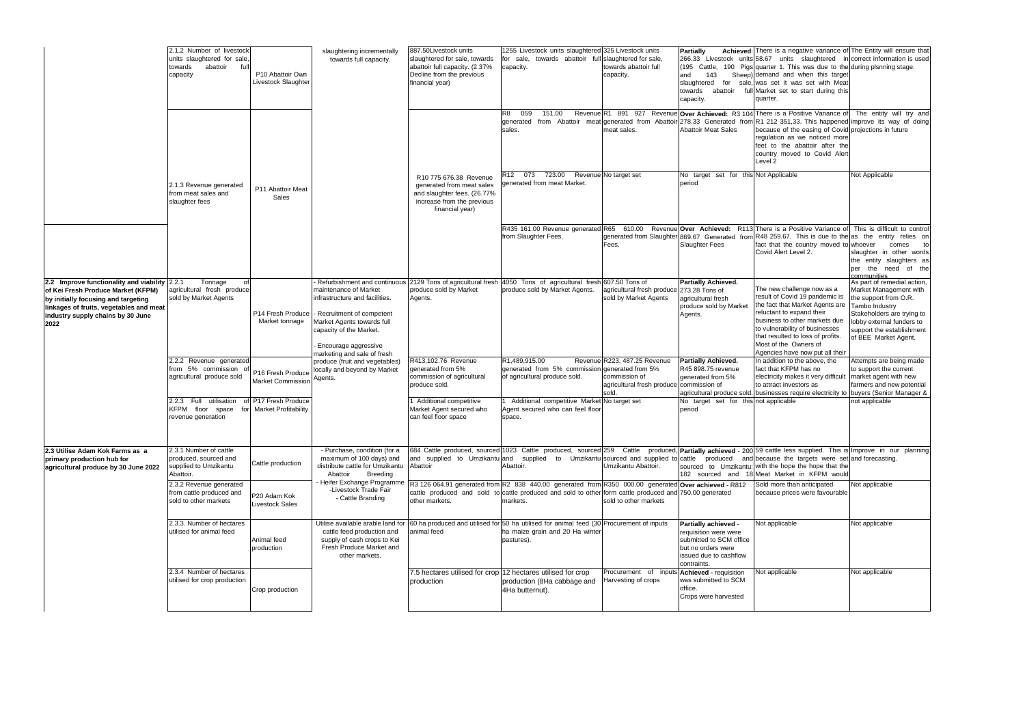|                                                                                                                                                                                                                      | 2.1.2 Number of livestock<br>units slaughtered for sale,<br>towards<br>abattoir<br>full<br>capacity | P10 Abattoir Own<br>Livestock Slaughter          | slaughtering incrementally<br>towards full capacity.                                                                                                                                                                                                                  | 887.50Livestock units<br>slaughtered for sale, towards<br>abattoir full capacity. (2.37%<br>Decline from the previous<br>financial year) | 1255 Livestock units slaughtered 325 Livestock units<br>towards abattoir full slaughtered for sale,<br>for sale,<br>capacity.                                                                                                                                               | towards abattoir full<br>capacity.                                                   | <b>Partially</b><br>and<br>143<br>slaughtered for<br>abattoir<br>towards<br>capacity.                                                   | Achieved: There is a negative variance of The Entity will ensure that<br>266.33 Livestock units 58.67 units slaughtered in correct information is used<br>(195 Cattle, 190 Pigs quarter 1. This was due to the during plsnning stage.<br>Sheep) demand and when this target<br>sale, was set it was set with Meat<br>full Market set to start during this<br>quarter. |                                                                                                                                                                                                                  |
|----------------------------------------------------------------------------------------------------------------------------------------------------------------------------------------------------------------------|-----------------------------------------------------------------------------------------------------|--------------------------------------------------|-----------------------------------------------------------------------------------------------------------------------------------------------------------------------------------------------------------------------------------------------------------------------|------------------------------------------------------------------------------------------------------------------------------------------|-----------------------------------------------------------------------------------------------------------------------------------------------------------------------------------------------------------------------------------------------------------------------------|--------------------------------------------------------------------------------------|-----------------------------------------------------------------------------------------------------------------------------------------|-----------------------------------------------------------------------------------------------------------------------------------------------------------------------------------------------------------------------------------------------------------------------------------------------------------------------------------------------------------------------|------------------------------------------------------------------------------------------------------------------------------------------------------------------------------------------------------------------|
|                                                                                                                                                                                                                      |                                                                                                     |                                                  |                                                                                                                                                                                                                                                                       |                                                                                                                                          | 059<br>151.00<br>R8<br>generated from Abattoir meat generated from Abattoi<br>sales.                                                                                                                                                                                        | meat sales.                                                                          | <b>Abattoir Meat Sales</b>                                                                                                              | Revenue R1 891 927 Revenue Over Achieved: R3 104 There is a Positive Variance of<br>278.33 Generated from R1 212 351,33. This happened improve its way of doing<br>because of the easing of Covid projections in future<br>regulation as we noticed more<br>feet to the abattoir after the<br>country moved to Covid Alert<br>Level <sub>2</sub>                      | The entity will try and                                                                                                                                                                                          |
|                                                                                                                                                                                                                      | 2.1.3 Revenue generated<br>from meat sales and<br>slaughter fees                                    | P11 Abattoir Meat<br>Sales                       |                                                                                                                                                                                                                                                                       | R10 775 676.38 Revenue<br>generated from meat sales<br>and slaughter fees. (26.77%<br>increase from the previous<br>financial year)      | 073 723.00<br>R12<br>generated from meat Market.                                                                                                                                                                                                                            | Revenue No target set                                                                | No target set for this Not Applicable<br>period                                                                                         |                                                                                                                                                                                                                                                                                                                                                                       | Not Applicable                                                                                                                                                                                                   |
|                                                                                                                                                                                                                      |                                                                                                     |                                                  |                                                                                                                                                                                                                                                                       |                                                                                                                                          | R435 161.00 Revenue generated R65 610.00 Revenue Over Achieved: R113 There is a Positive Variance of This is difficult to control<br>from Slaughter Fees.                                                                                                                   | Fees.                                                                                | <b>Slaughter Fees</b>                                                                                                                   | generated from Slaughter 869.67 Generated from R48 259.67. This is due to the as the entity relies on<br>fact that the country moved to whoever<br>Covid Alert Level 2.                                                                                                                                                                                               | comes<br>to<br>slaughter in other words<br>the entity slaughters as<br>the need of the<br>per<br>communities                                                                                                     |
| 2.2 Improve functionality and viability $2.2.1$<br>of Kei Fresh Produce Market (KFPM)<br>by initially focusing and targeting<br>linkages of fruits, vegetables and meat<br>industry supply chains by 30 June<br>2022 | Tonnage<br>0f<br>agricultural fresh produce<br>sold by Market Agents                                | P14 Fresh Produce<br>Market tonnage              | Refurbishment and continuous 2129 Tons of agricultural fresh<br>maintenance of Market<br>infrastructure and facilities.<br>- Recruitment of competent<br>Market Agents towards full<br>capacity of the Market.<br>Encourage aggressive<br>marketing and sale of fresh | produce sold by Market<br>Agents.                                                                                                        | 4050 Tons of agricultural fresh 607.50 Tons of<br>produce sold by Market Agents.                                                                                                                                                                                            | agricultural fresh produce<br>sold by Market Agents                                  | <b>Partially Achieved.</b><br>273.28 Tons of<br>agricultural fresh<br>produce sold by Market<br>Agents.                                 | The new challenge now as a<br>result of Covid 19 pandemic is<br>the fact that Market Agents are<br>reluctant to expand their<br>business to other markets due<br>to vulnerability of businesses<br>that resulted to loss of profits.<br>Most of the Owners of<br>Agencies have now put all their                                                                      | As part of remedial action,<br>Market Management with<br>the support from O.R.<br>Tambo Industry<br>Stakeholders are trying to<br>lobby external funders to<br>support the establishment<br>of BEE Market Agent. |
|                                                                                                                                                                                                                      | 2.2.2 Revenue generated<br>from 5% commission<br>agricultural produce sold                          | P16 Fresh Produce<br><b>Market Commission</b>    | produce (fruit and vegetables)<br>locally and beyond by Market<br>Agents.                                                                                                                                                                                             | R413,102.76 Revenue<br>generated from 5%<br>commission of agricultural<br>produce sold.                                                  | R1,489,915.00<br>generated from 5% commission generated from 5%<br>of agricultural produce sold.                                                                                                                                                                            | Revenue R223, 487.25 Revenue<br>commission of<br>agricultural fresh produce<br>sold. | <b>Partially Achieved.</b><br>R45 898.75 revenue<br>generated from 5%<br>commission of                                                  | In addition to the above, the<br>fact that KFPM has no<br>electricity makes it very difficult<br>to attract investors as<br>agricultural produce sold. businesses require electricity to buyers (Senior Manager &                                                                                                                                                     | Attempts are being made<br>to support the current<br>market agent with new<br>farmers and new potential                                                                                                          |
|                                                                                                                                                                                                                      | 2.2.3 Full utilisation<br>n<br>KFPM floor space<br>for<br>revenue generation                        | P17 Fresh Produce<br><b>Market Profitability</b> |                                                                                                                                                                                                                                                                       | <b>Additional competitive</b><br>Market Agent secured who<br>can feel floor space                                                        | Additional competitive Market No target set<br>Agent secured who can feel floor<br>space.                                                                                                                                                                                   |                                                                                      | No target set for this not applicable<br>period                                                                                         |                                                                                                                                                                                                                                                                                                                                                                       | not applicable                                                                                                                                                                                                   |
| 2.3 Utilise Adam Kok Farms as a<br>primary production hub for<br>agricultural produce by 30 June 2022                                                                                                                | 2.3.1 Number of cattle<br>produced, sourced and<br>supplied to Umzikantu<br>Abattoir.               | Cattle production                                | - Purchase, condition (for a<br>maximum of 100 days) and<br>distribute cattle for Umzikantu Abattoir<br><b>Breeding</b><br>Abattoir                                                                                                                                   |                                                                                                                                          | 684 Cattle produced, sourced 1023 Cattle produced, sourced 259 Cattle produced, <b>Partially achieved</b> - 200 59 cattle less supplied. This is Improve in our planning<br>and supplied to Umzikantu and supplied to Umzikantu sourced and supplied to cattle<br>Abattoir. | Umzikantu Abattoir.                                                                  | produced<br>182 sourced and                                                                                                             | and because the targets were set and forecasting.<br>sourced to Umzikantu: with the hope the hope that the<br>18 Meat Market in KFPM would                                                                                                                                                                                                                            |                                                                                                                                                                                                                  |
|                                                                                                                                                                                                                      | 2.3.2 Revenue generated<br>from cattle produced and<br>sold to other markets                        | P20 Adam Kok<br><b>Livestock Sales</b>           | Heifer Exchange Programme<br>-Livestock Trade Fair<br>- Cattle Branding                                                                                                                                                                                               | other markets.                                                                                                                           | R3 126 064.91 generated from R2 838 440.00 generated from R350 000.00 generated<br>cattle produced and sold to cattle produced and sold to other form cattle produced and 750.00 generated<br>markets.                                                                      | sold to other markets                                                                | Over achieved - R812                                                                                                                    | Sold more than anticipated<br>because prices were favourable                                                                                                                                                                                                                                                                                                          | Not applicable                                                                                                                                                                                                   |
|                                                                                                                                                                                                                      | 2.3.3. Number of hectares<br>utilised for animal feed                                               | Animal feed<br>production                        | cattle feed production and<br>supply of cash crops to Kei<br>Fresh Produce Market and<br>other markets.                                                                                                                                                               | animal feed                                                                                                                              | Utilise available arable land for 60 ha produced and utilised for 50 ha utilised for animal feed $(30)$ Procurement of inputs<br>ha maize grain and 20 Ha winter<br>pastures).                                                                                              |                                                                                      | Partially achieved -<br>requisition were were<br>submitted to SCM office<br>but no orders were<br>issued due to cashflow<br>contraints. | Not applicable                                                                                                                                                                                                                                                                                                                                                        | Not applicable                                                                                                                                                                                                   |
|                                                                                                                                                                                                                      | 2.3.4 Number of hectares<br>utilised for crop production                                            | Crop production                                  |                                                                                                                                                                                                                                                                       | 7.5 hectares utilised for crop<br>production                                                                                             | 12 hectares utilised for crop<br>production (8Ha cabbage and<br>4Ha butternut).                                                                                                                                                                                             | Procurement of inputs<br>Harvesting of crops                                         | Achieved - requisition<br>was submitted to SCM<br>office.<br>Crops were harvested                                                       | Not applicable                                                                                                                                                                                                                                                                                                                                                        | Not applicable                                                                                                                                                                                                   |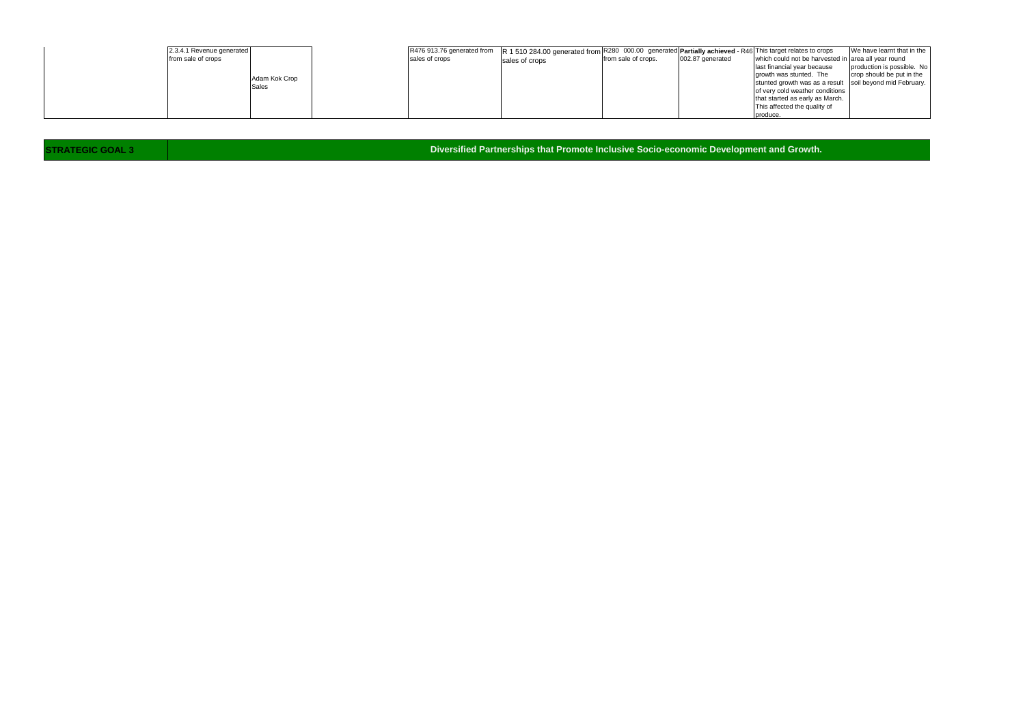| 2.3.4.1 Revenue generated |               |                | R476 913.76 generated from R 1 510 284.00 generated from R280 000.00 generated Partially achieved - R46 This target relates to crops |                     |                  |                                                          | We have learnt that in the |
|---------------------------|---------------|----------------|--------------------------------------------------------------------------------------------------------------------------------------|---------------------|------------------|----------------------------------------------------------|----------------------------|
| from sale of crops        |               | sales of crops | sales of crops                                                                                                                       | from sale of crops. | 002.87 generated | which could not be harvested in area all year round      |                            |
|                           |               |                |                                                                                                                                      |                     |                  | last financial year because                              | production is possible. No |
|                           |               |                |                                                                                                                                      |                     |                  | growth was stunted. The                                  | crop should be put in the  |
|                           | Adam Kok Crop |                |                                                                                                                                      |                     |                  | stunted growth was as a result soil beyond mid February. |                            |
|                           | Sales         |                |                                                                                                                                      |                     |                  | of very cold weather conditions                          |                            |
|                           |               |                |                                                                                                                                      |                     |                  | that started as early as March.                          |                            |
|                           |               |                |                                                                                                                                      |                     |                  | This affected the quality of                             |                            |
|                           |               |                |                                                                                                                                      |                     |                  | produce                                                  |                            |

**STRATEGIC GOAL 3**

**Diversified Partnerships that Promote Inclusive Socio-economic Development and Growth.**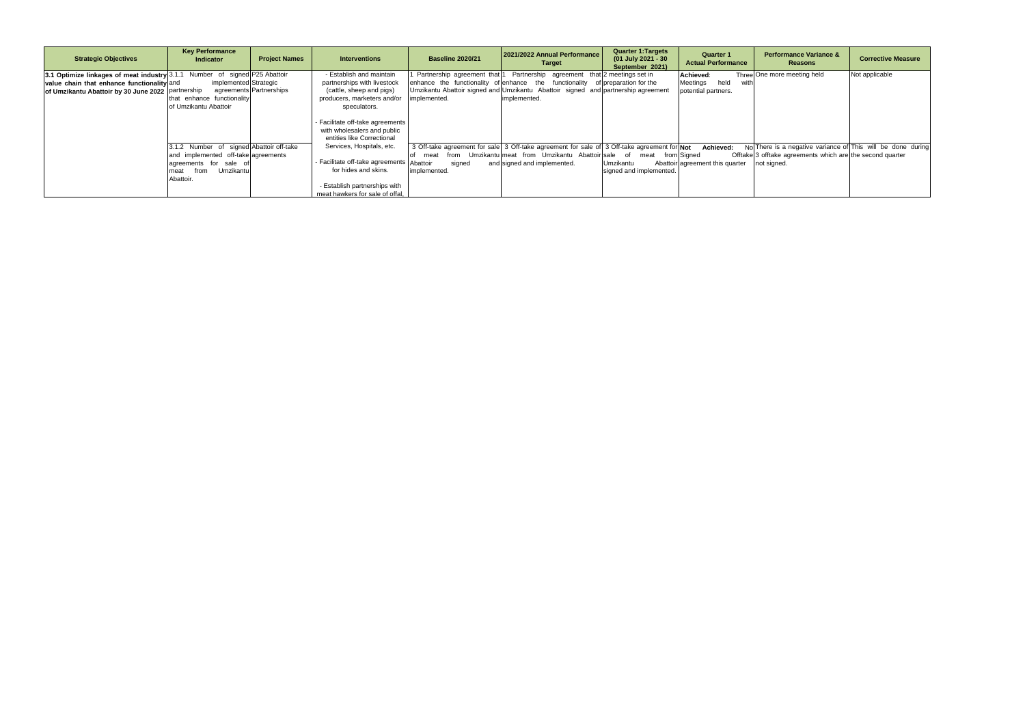| <b>Strategic Objectives</b>                                                | <b>Key Performance</b><br><b>Indicator</b> | <b>Project Names</b>    | <b>Interventions</b>                                                                          | <b>Baseline 2020/21</b> | 2021/2022 Annual Performance<br><b>Target</b>                                               | <b>Quarter 1: Targets</b><br>(01 July 2021 - 30<br>September 2021) | <b>Quarter 1</b><br><b>Actual Performance</b> | <b>Performance Variance &amp;</b><br>Reasons                | <b>Corrective Measure</b> |
|----------------------------------------------------------------------------|--------------------------------------------|-------------------------|-----------------------------------------------------------------------------------------------|-------------------------|---------------------------------------------------------------------------------------------|--------------------------------------------------------------------|-----------------------------------------------|-------------------------------------------------------------|---------------------------|
| 3.1 Optimize linkages of meat industry 3.1.1 Number of signed P25 Abattoir |                                            |                         | - Establish and maintain                                                                      |                         | 1 Partnership agreement that 1 Partnership agreement that 2 meetings set in                 |                                                                    | Achieved:                                     | Three One more meeting held                                 | Not applicable            |
| value chain that enhance functionality and                                 | implemented Strategic                      |                         | partnerships with livestock                                                                   |                         | enhance the functionality of enhance the functionality of preparation for the               |                                                                    | held<br>Meetings<br>with                      |                                                             |                           |
| of Umzikantu Abattoir by 30 June 2022 partnership                          |                                            | agreements Partnerships | (cattle, sheep and pigs)                                                                      |                         | Umzikantu Abattoir signed and Umzikantu Abattoir signed and partnership agreement           |                                                                    | potential partners.                           |                                                             |                           |
|                                                                            | that enhance functionality                 |                         | producers, marketers and/or                                                                   | implemented.            | implemented.                                                                                |                                                                    |                                               |                                                             |                           |
|                                                                            | of Umzikantu Abattoir                      |                         | speculators.                                                                                  |                         |                                                                                             |                                                                    |                                               |                                                             |                           |
|                                                                            |                                            |                         | - Facilitate off-take agreements<br>with wholesalers and public<br>entities like Correctional |                         |                                                                                             |                                                                    |                                               |                                                             |                           |
|                                                                            | 3.1.2 Number of signed Abattoir off-take   |                         | Services, Hospitals, etc.                                                                     |                         | 3 Off-take agreement for sale 3 Off-take agreement for sale of 3 Off-take agreement for Not |                                                                    | Achieved:                                     | No There is a negative variance of This will be done during |                           |
|                                                                            | and implemented off-take agreements        |                         |                                                                                               | from<br>meat            | Umzikantulmeat from Umzikantu Abattoirlsale of                                              | meat                                                               | from Sianed                                   | Offtake 3 offtake agreements which are the second quarter   |                           |
|                                                                            | agreements for sale of                     |                         | - Facilitate off-take agreements Abattoir                                                     | signed                  | and signed and implemented.                                                                 | Umzikantu                                                          | Abattoir agreement this quarter               | not signed.                                                 |                           |
|                                                                            | Umzikantu<br>from<br>meat                  |                         | for hides and skins.                                                                          | implemented.            |                                                                                             | signed and implemented.                                            |                                               |                                                             |                           |
|                                                                            | Abattoir.                                  |                         |                                                                                               |                         |                                                                                             |                                                                    |                                               |                                                             |                           |
|                                                                            |                                            |                         | - Establish partnerships with                                                                 |                         |                                                                                             |                                                                    |                                               |                                                             |                           |
|                                                                            |                                            |                         | meat hawkers for sale of offal,                                                               |                         |                                                                                             |                                                                    |                                               |                                                             |                           |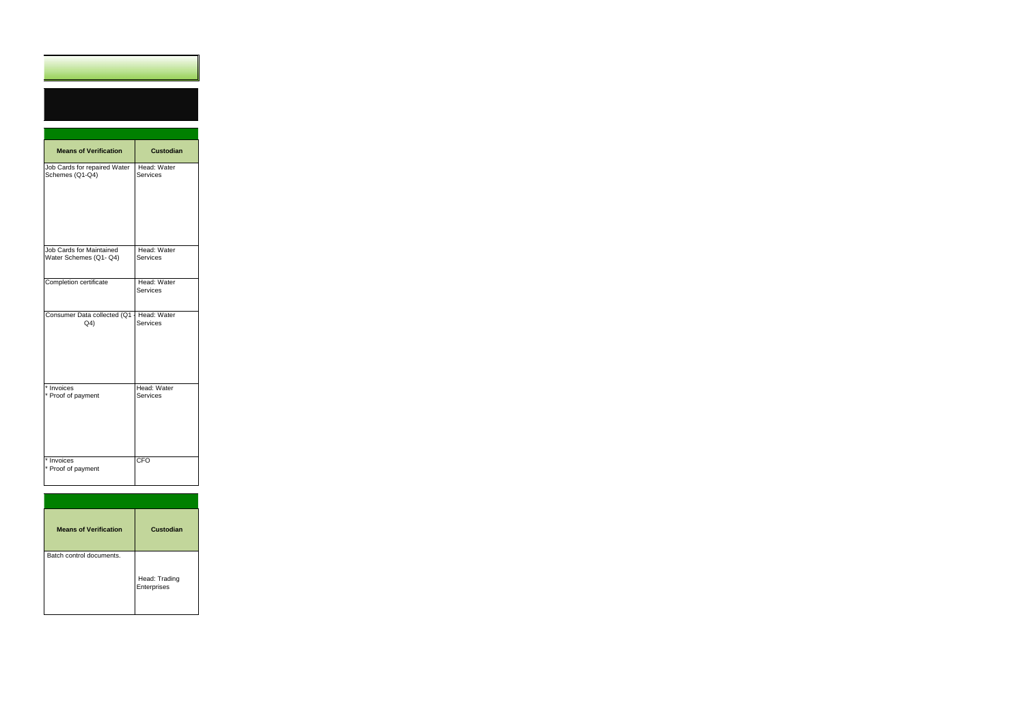| <b>Means of Verification</b>                       | <b>Custodian</b>               |
|----------------------------------------------------|--------------------------------|
| Job Cards for repaired Water<br>Schemes (Q1-Q4)    | Head: Water<br>Services        |
| Job Cards for Maintained<br>Water Schemes (Q1- Q4) | Head: Water<br>Services        |
| Completion certificate                             | Head: Water<br><b>Services</b> |
| Consumer Data collected (Q1<br>Q <sub>4</sub>      | Head: Water<br>Services        |
| * Invoices<br>* Proof of payment                   | Head: Water<br><b>Services</b> |
| * Invoices<br>* Proof of payment                   | CFO                            |

| <b>Means of Verification</b> | Custodian                    |
|------------------------------|------------------------------|
| Batch control documents.     | Head: Trading<br>Enterprises |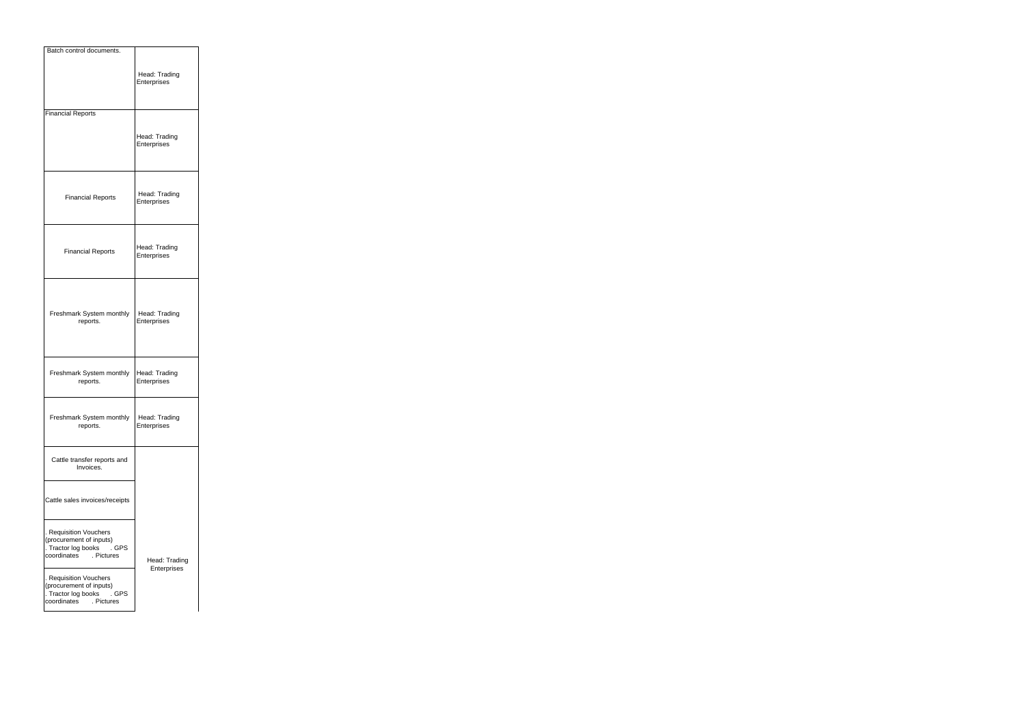| Batch control documents.                                                                                       |                              |
|----------------------------------------------------------------------------------------------------------------|------------------------------|
|                                                                                                                | Head: Trading<br>Enterprises |
| <b>Financial Reports</b>                                                                                       |                              |
|                                                                                                                | Head: Trading<br>Enterprises |
| <b>Financial Reports</b>                                                                                       | Head: Trading<br>Enterprises |
| <b>Financial Reports</b>                                                                                       | Head: Trading<br>Enterprises |
| Freshmark System monthly<br>reports.                                                                           | Head: Trading<br>Enterprises |
| Freshmark System monthly<br>reports.                                                                           | Head: Trading<br>Enterprises |
| Freshmark System monthly<br>reports.                                                                           | Head: Trading<br>Enterprises |
| Cattle transfer reports and<br>Invoices.                                                                       |                              |
| Cattle sales invoices/receipts                                                                                 |                              |
| . Requisition Vouchers<br>(procurement of inputs)<br>. Tractor log books<br>. GPS<br>coordinates<br>. Pictures | Head: Trading<br>Enterprises |
| . Requisition Vouchers<br>(procurement of inputs)<br>. Tractor log books<br>. GPS<br>coordinates<br>. Pictures |                              |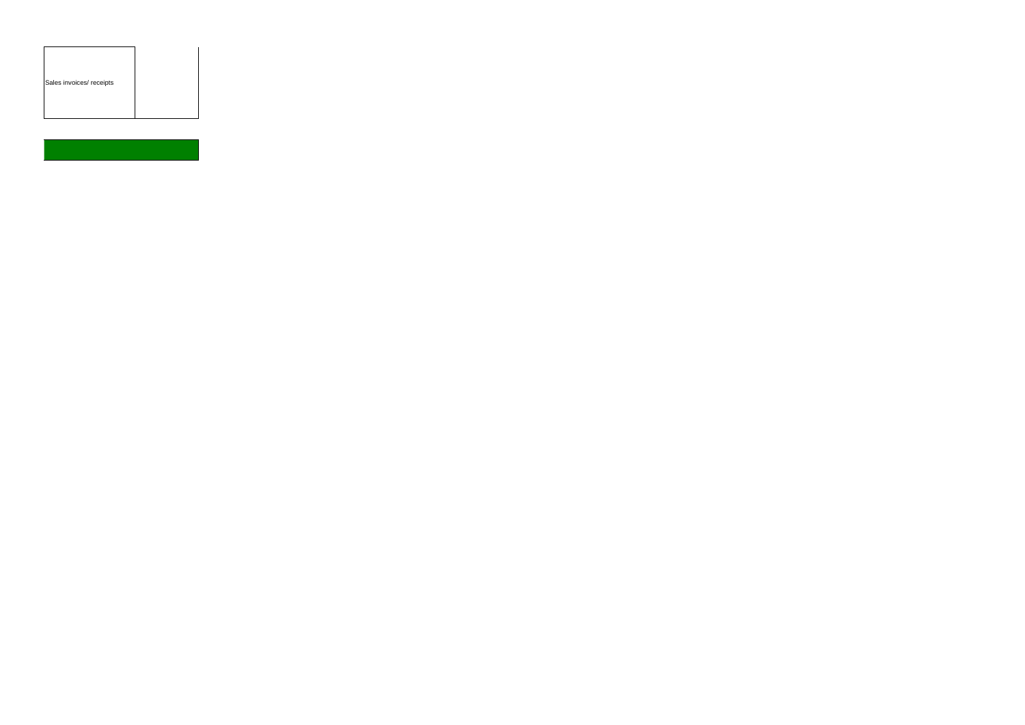|  | Sales invoices/ receipts |  |  |  |  |
|--|--------------------------|--|--|--|--|
|--|--------------------------|--|--|--|--|